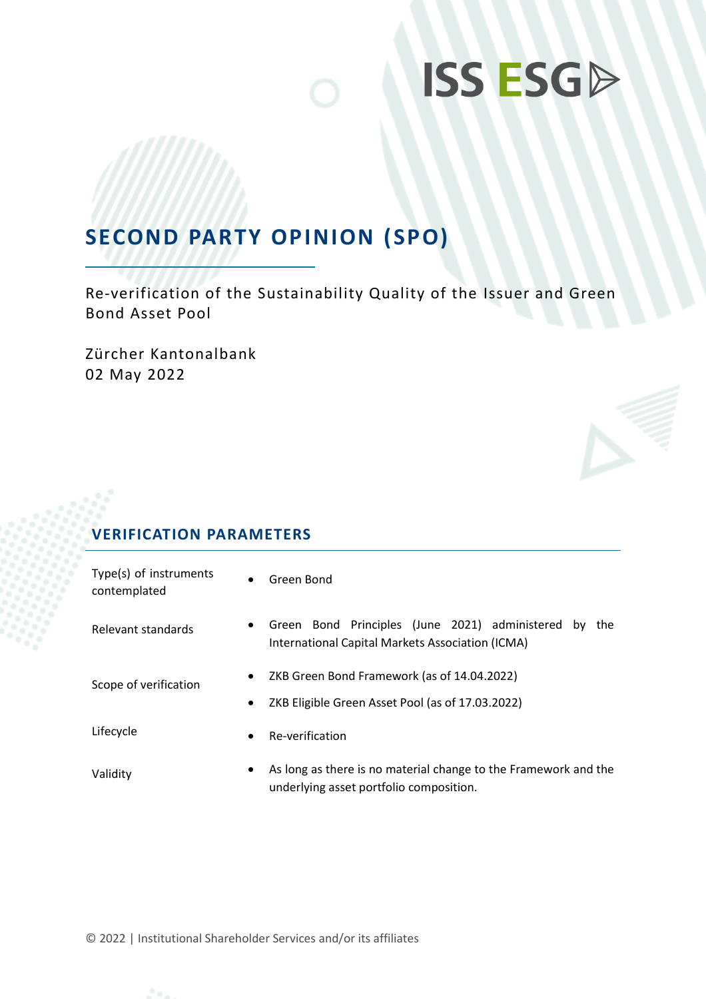# **SECOND PARTY OPINION (SPO)**

Re-verification of the Sustainability Quality of the Issuer and Green Bond Asset Pool

Zürcher Kantonalbank 02 May 2022

# **VERIFICATION PARAMETERS**

| Type(s) of instruments<br>contemplated | $\bullet$ | Green Bond                                                                                                   |  |  |
|----------------------------------------|-----------|--------------------------------------------------------------------------------------------------------------|--|--|
| Relevant standards                     | $\bullet$ | Green Bond Principles (June 2021) administered by<br>the<br>International Capital Markets Association (ICMA) |  |  |
| Scope of verification                  | $\bullet$ | ZKB Green Bond Framework (as of 14.04.2022)                                                                  |  |  |
|                                        | $\bullet$ | ZKB Eligible Green Asset Pool (as of 17.03.2022)                                                             |  |  |
| Lifecycle                              | $\bullet$ | Re-verification                                                                                              |  |  |
| Validity                               | $\bullet$ | As long as there is no material change to the Framework and the<br>underlying asset portfolio composition.   |  |  |

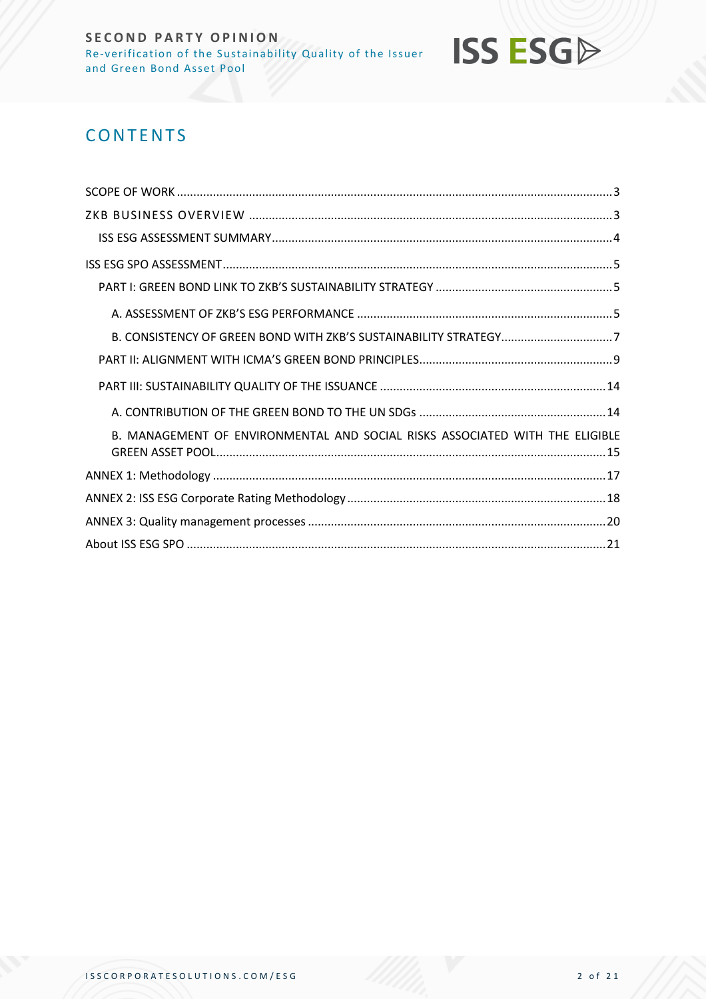

# **CONTENTS**

| B. CONSISTENCY OF GREEN BOND WITH ZKB'S SUSTAINABILITY STRATEGY7             |
|------------------------------------------------------------------------------|
|                                                                              |
|                                                                              |
|                                                                              |
| B. MANAGEMENT OF ENVIRONMENTAL AND SOCIAL RISKS ASSOCIATED WITH THE ELIGIBLE |
|                                                                              |
|                                                                              |
|                                                                              |
|                                                                              |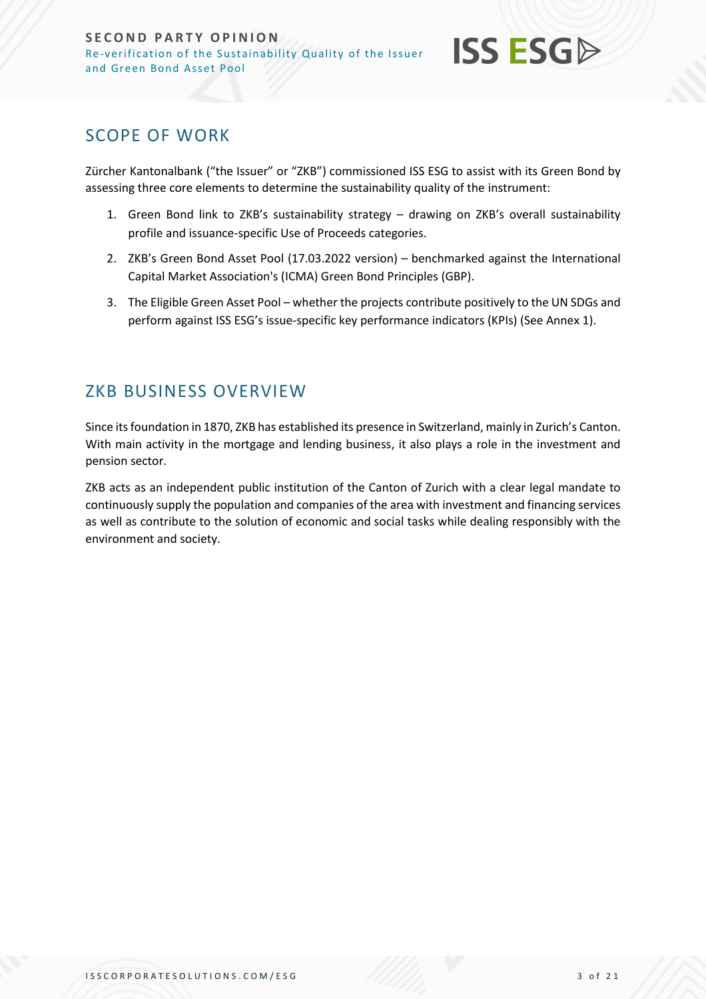

# <span id="page-2-0"></span>SCOPE OF WORK

Zürcher Kantonalbank ("the Issuer" or "ZKB") commissioned ISS ESG to assist with its Green Bond by assessing three core elements to determine the sustainability quality of the instrument:

- 1. Green Bond link to ZKB's sustainability strategy drawing on ZKB's overall sustainability profile and issuance-specific Use of Proceeds categories.
- 2. ZKB's Green Bond Asset Pool (17.03.2022 version) benchmarked against the International Capital Market Association's (ICMA) Green Bond Principles (GBP).
- 3. The Eligible Green Asset Pool whether the projects contribute positively to the UN SDGs and perform against ISS ESG's issue-specific key performance indicators (KPIs) (See Annex 1).

# <span id="page-2-1"></span>ZKB BUSINESS OVERVIEW

Since its foundation in 1870, ZKB has established its presence in Switzerland, mainly in Zurich's Canton. With main activity in the mortgage and lending business, it also plays a role in the investment and pension sector.

ZKB acts as an independent public institution of the Canton of Zurich with a clear legal mandate to continuously supply the population and companies of the area with investment and financing services as well as contribute to the solution of economic and social tasks while dealing responsibly with the environment and society.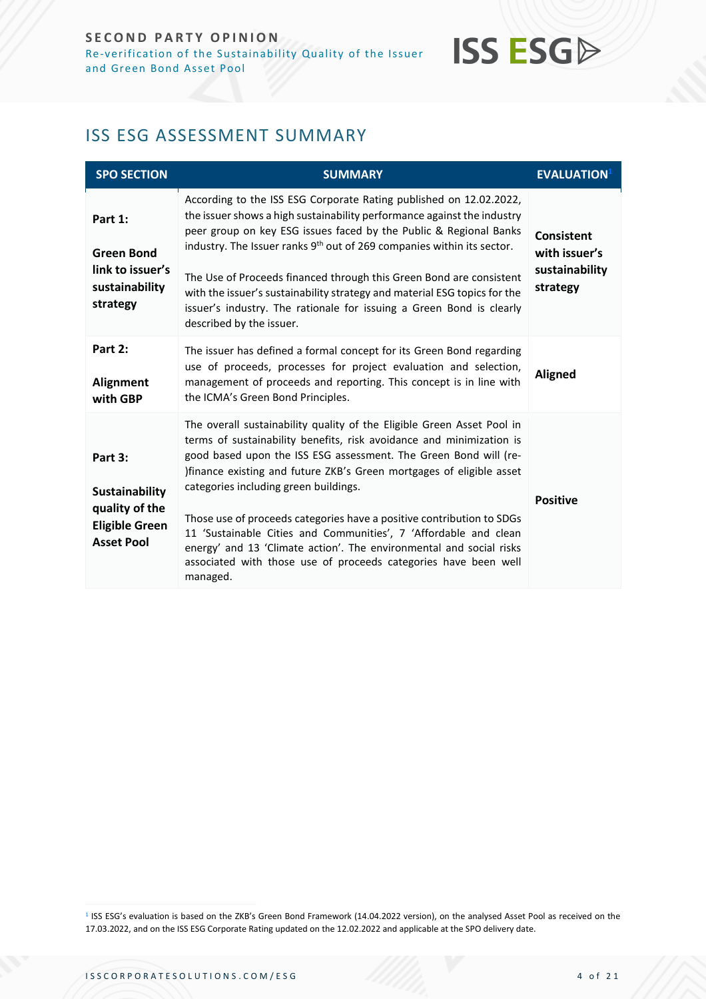# <span id="page-3-0"></span>ISS ESG ASSESSMENT SUMMARY

| <b>SPO SECTION</b>                                                                               | <b>SUMMARY</b>                                                                                                                                                                                                                                                                                                                                                                                                                                                                                                                                                                                                                         | <b>EVALUATION</b>                                         |
|--------------------------------------------------------------------------------------------------|----------------------------------------------------------------------------------------------------------------------------------------------------------------------------------------------------------------------------------------------------------------------------------------------------------------------------------------------------------------------------------------------------------------------------------------------------------------------------------------------------------------------------------------------------------------------------------------------------------------------------------------|-----------------------------------------------------------|
| Part 1:<br><b>Green Bond</b><br>link to issuer's<br>sustainability<br>strategy                   | According to the ISS ESG Corporate Rating published on 12.02.2022,<br>the issuer shows a high sustainability performance against the industry<br>peer group on key ESG issues faced by the Public & Regional Banks<br>industry. The Issuer ranks 9 <sup>th</sup> out of 269 companies within its sector.<br>The Use of Proceeds financed through this Green Bond are consistent<br>with the issuer's sustainability strategy and material ESG topics for the<br>issuer's industry. The rationale for issuing a Green Bond is clearly<br>described by the issuer.                                                                       | Consistent<br>with issuer's<br>sustainability<br>strategy |
| Part 2:<br>Alignment<br>with GBP                                                                 | The issuer has defined a formal concept for its Green Bond regarding<br>use of proceeds, processes for project evaluation and selection,<br>management of proceeds and reporting. This concept is in line with<br>the ICMA's Green Bond Principles.                                                                                                                                                                                                                                                                                                                                                                                    | <b>Aligned</b>                                            |
| Part 3:<br><b>Sustainability</b><br>quality of the<br><b>Eligible Green</b><br><b>Asset Pool</b> | The overall sustainability quality of the Eligible Green Asset Pool in<br>terms of sustainability benefits, risk avoidance and minimization is<br>good based upon the ISS ESG assessment. The Green Bond will (re-<br>)finance existing and future ZKB's Green mortgages of eligible asset<br>categories including green buildings.<br>Those use of proceeds categories have a positive contribution to SDGs<br>11 'Sustainable Cities and Communities', 7 'Affordable and clean<br>energy' and 13 'Climate action'. The environmental and social risks<br>associated with those use of proceeds categories have been well<br>managed. | <b>Positive</b>                                           |

<sup>1</sup> ISS ESG's evaluation is based on the ZKB's Green Bond Framework (14.04.2022 version), on the analysed Asset Pool as received on the 17.03.2022, and on the ISS ESG Corporate Rating updated on the 12.02.2022 and applicable at the SPO delivery date.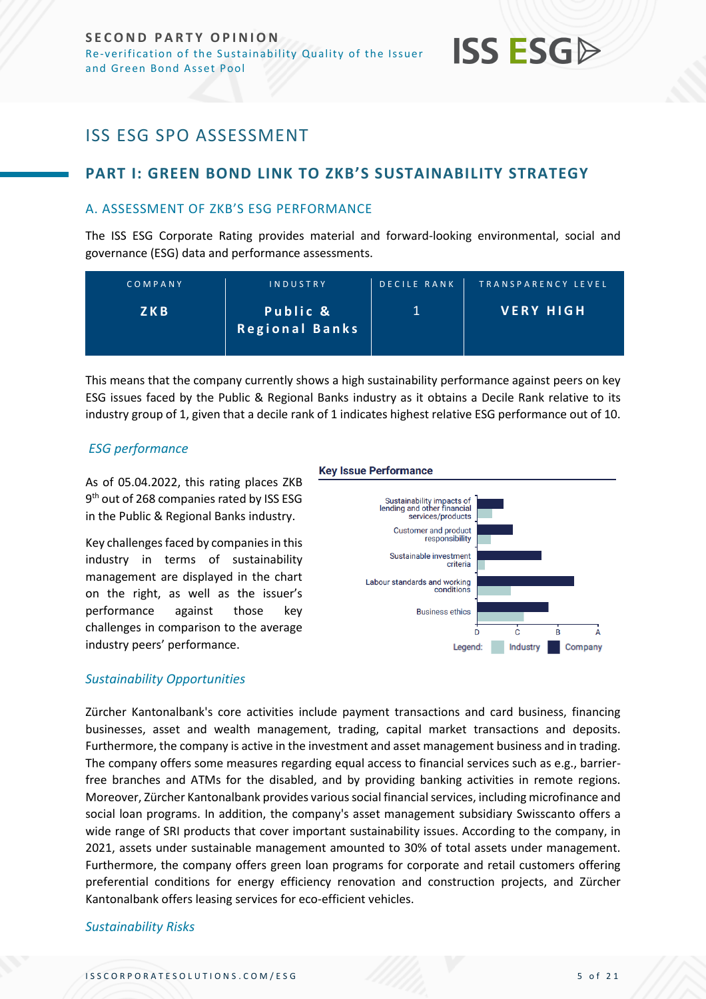

# <span id="page-4-0"></span>ISS ESG SPO ASSESSMENT

# <span id="page-4-1"></span>**PART I: GREEN BOND LINK TO ZKB'S SUSTAINABILITY STRATEGY**

## <span id="page-4-2"></span>A. ASSESSMENT OF ZKB'S ESG PERFORMANCE

The ISS ESG Corporate Rating provides material and forward-looking environmental, social and governance (ESG) data and performance assessments.

| COMPANY | <b>INDUSTRY</b>                   | <b>DECILE RANK</b> | TRANSPARENCY LEVEL |
|---------|-----------------------------------|--------------------|--------------------|
| Z K B   | Public &<br><b>Regional Banks</b> |                    | <b>VERY HIGH</b>   |

This means that the company currently shows a high sustainability performance against peers on key ESG issues faced by the Public & Regional Banks industry as it obtains a Decile Rank relative to its industry group of 1, given that a decile rank of 1 indicates highest relative ESG performance out of 10.

### *ESG performance*

As of 05.04.2022, this rating places ZKB 9<sup>th</sup> out of 268 companies rated by ISS ESG in the Public & Regional Banks industry.

Key challenges faced by companies in this industry in terms of sustainability management are displayed in the chart on the right, as well as the issuer's performance against those key challenges in comparison to the average industry peers' performance.

**Key Issue Performance** 



# *Sustainability Opportunities*

Zürcher Kantonalbank's core activities include payment transactions and card business, financing businesses, asset and wealth management, trading, capital market transactions and deposits. Furthermore, the company is active in the investment and asset management business and in trading. The company offers some measures regarding equal access to financial services such as e.g., barrierfree branches and ATMs for the disabled, and by providing banking activities in remote regions. Moreover, Zürcher Kantonalbank provides various social financial services, including microfinance and social loan programs. In addition, the company's asset management subsidiary Swisscanto offers a wide range of SRI products that cover important sustainability issues. According to the company, in 2021, assets under sustainable management amounted to 30% of total assets under management. Furthermore, the company offers green loan programs for corporate and retail customers offering preferential conditions for energy efficiency renovation and construction projects, and Zürcher Kantonalbank offers leasing services for eco-efficient vehicles.

### *Sustainability Risks*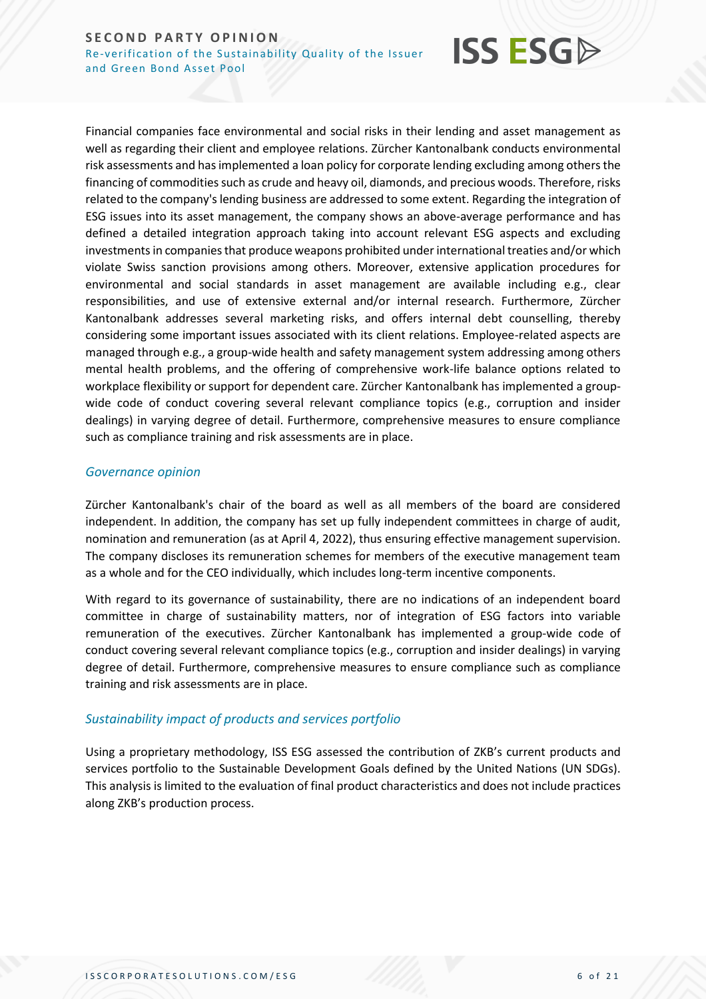

Financial companies face environmental and social risks in their lending and asset management as well as regarding their client and employee relations. Zürcher Kantonalbank conducts environmental risk assessments and has implemented a loan policy for corporate lending excluding among others the financing of commodities such as crude and heavy oil, diamonds, and precious woods. Therefore, risks related to the company's lending business are addressed to some extent. Regarding the integration of ESG issues into its asset management, the company shows an above-average performance and has defined a detailed integration approach taking into account relevant ESG aspects and excluding investments in companies that produce weapons prohibited under international treaties and/or which violate Swiss sanction provisions among others. Moreover, extensive application procedures for environmental and social standards in asset management are available including e.g., clear responsibilities, and use of extensive external and/or internal research. Furthermore, Zürcher Kantonalbank addresses several marketing risks, and offers internal debt counselling, thereby considering some important issues associated with its client relations. Employee-related aspects are managed through e.g., a group-wide health and safety management system addressing among others mental health problems, and the offering of comprehensive work-life balance options related to workplace flexibility or support for dependent care. Zürcher Kantonalbank has implemented a groupwide code of conduct covering several relevant compliance topics (e.g., corruption and insider dealings) in varying degree of detail. Furthermore, comprehensive measures to ensure compliance such as compliance training and risk assessments are in place.

## *Governance opinion*

Zürcher Kantonalbank's chair of the board as well as all members of the board are considered independent. In addition, the company has set up fully independent committees in charge of audit, nomination and remuneration (as at April 4, 2022), thus ensuring effective management supervision. The company discloses its remuneration schemes for members of the executive management team as a whole and for the CEO individually, which includes long-term incentive components.

With regard to its governance of sustainability, there are no indications of an independent board committee in charge of sustainability matters, nor of integration of ESG factors into variable remuneration of the executives. Zürcher Kantonalbank has implemented a group-wide code of conduct covering several relevant compliance topics (e.g., corruption and insider dealings) in varying degree of detail. Furthermore, comprehensive measures to ensure compliance such as compliance training and risk assessments are in place.

# *Sustainability impact of products and services portfolio*

Using a proprietary methodology, ISS ESG assessed the contribution of ZKB's current products and services portfolio to the Sustainable Development Goals defined by the United Nations (UN SDGs). This analysis is limited to the evaluation of final product characteristics and does not include practices along ZKB's production process.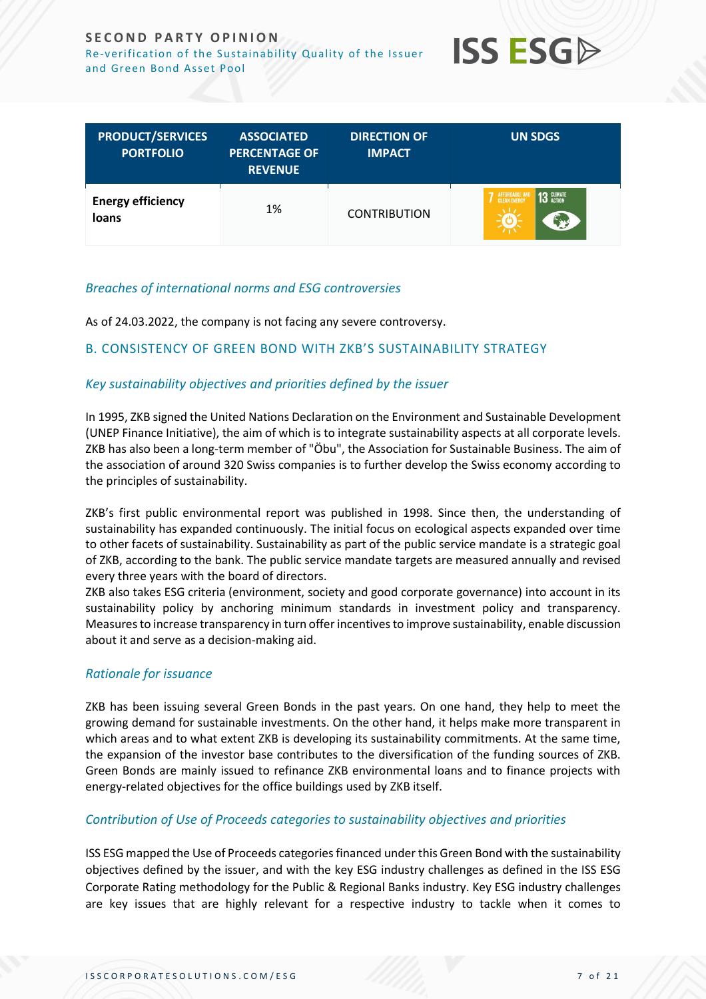# **SECOND PARTY OPINION** Re-verification of the Sustainability Quality of the Issuer





| <b>PRODUCT/SERVICES</b><br><b>PORTFOLIO</b> | <b>ASSOCIATED</b><br><b>PERCENTAGE OF</b><br><b>REVENUE</b> | <b>DIRECTION OF</b><br><b>IMPACT</b> | <b>UN SDGS</b>                                                       |
|---------------------------------------------|-------------------------------------------------------------|--------------------------------------|----------------------------------------------------------------------|
| <b>Energy efficiency</b><br>loans           | 1%                                                          | <b>CONTRIBUTION</b>                  | <b>13 GLIMATE</b><br><b>AFFORDABLE A.</b><br><b>CLEAN FHERE</b><br>5 |

# *Breaches of international norms and ESG controversies*

As of 24.03.2022, the company is not facing any severe controversy.

# <span id="page-6-0"></span>B. CONSISTENCY OF GREEN BOND WITH ZKB'S SUSTAINABILITY STRATEGY

# *Key sustainability objectives and priorities defined by the issuer*

In 1995, ZKB signed the United Nations Declaration on the Environment and Sustainable Development (UNEP Finance Initiative), the aim of which is to integrate sustainability aspects at all corporate levels. ZKB has also been a long-term member of "Öbu", the Association for Sustainable Business. The aim of the association of around 320 Swiss companies is to further develop the Swiss economy according to the principles of sustainability.

ZKB's first public environmental report was published in 1998. Since then, the understanding of sustainability has expanded continuously. The initial focus on ecological aspects expanded over time to other facets of sustainability. Sustainability as part of the public service mandate is a strategic goal of ZKB, according to the bank. The public service mandate targets are measured annually and revised every three years with the board of directors.

ZKB also takes ESG criteria (environment, society and good corporate governance) into account in its sustainability policy by anchoring minimum standards in investment policy and transparency. Measures to increase transparency in turn offer incentives to improve sustainability, enable discussion about it and serve as a decision-making aid.

# *Rationale for issuance*

ZKB has been issuing several Green Bonds in the past years. On one hand, they help to meet the growing demand for sustainable investments. On the other hand, it helps make more transparent in which areas and to what extent ZKB is developing its sustainability commitments. At the same time, the expansion of the investor base contributes to the diversification of the funding sources of ZKB. Green Bonds are mainly issued to refinance ZKB environmental loans and to finance projects with energy-related objectives for the office buildings used by ZKB itself.

# *Contribution of Use of Proceeds categories to sustainability objectives and priorities*

ISS ESG mapped the Use of Proceeds categories financed under this Green Bond with the sustainability objectives defined by the issuer, and with the key ESG industry challenges as defined in the ISS ESG Corporate Rating methodology for the Public & Regional Banks industry. Key ESG industry challenges are key issues that are highly relevant for a respective industry to tackle when it comes to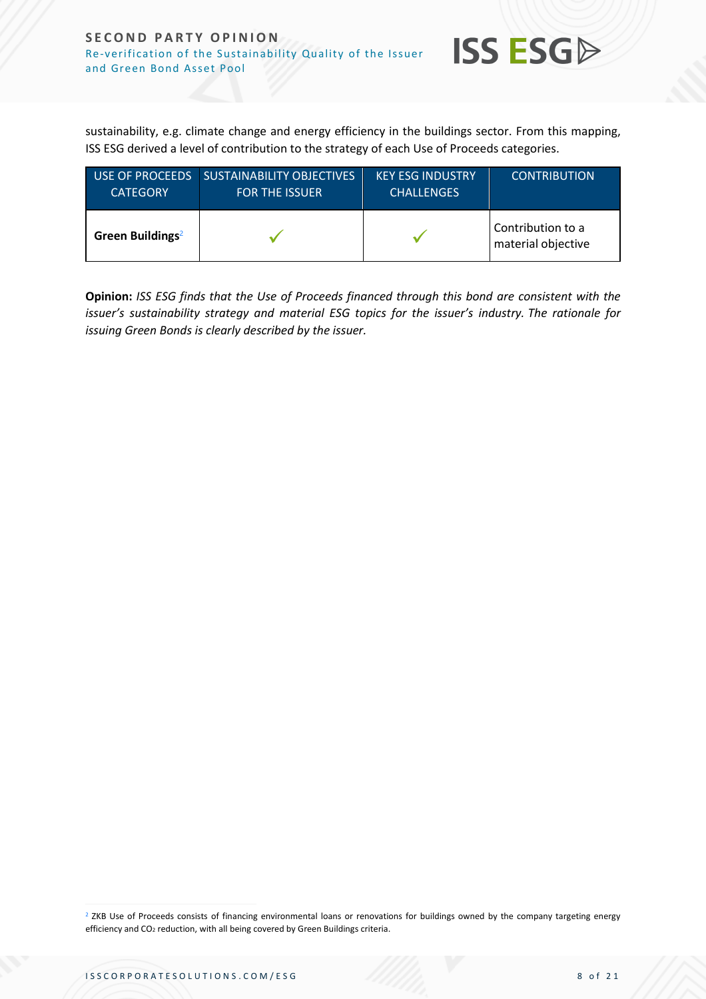

sustainability, e.g. climate change and energy efficiency in the buildings sector. From this mapping, ISS ESG derived a level of contribution to the strategy of each Use of Proceeds categories.

| <b>CATEGORY</b>              | USE OF PROCEEDS SUSTAINABILITY OBJECTIVES<br><b>FOR THE ISSUER</b> | <b>KEY ESG INDUSTRY</b><br><b>CHALLENGES</b> | <b>CONTRIBUTION</b>                     |
|------------------------------|--------------------------------------------------------------------|----------------------------------------------|-----------------------------------------|
| Green Buildings <sup>2</sup> |                                                                    |                                              | Contribution to a<br>material objective |

**Opinion:** *ISS ESG finds that the Use of Proceeds financed through this bond are consistent with the issuer's sustainability strategy and material ESG topics for the issuer's industry. The rationale for issuing Green Bonds is clearly described by the issuer.*

<sup>2</sup> ZKB Use of Proceeds consists of financing environmental loans or renovations for buildings owned by the company targeting energy efficiency and CO<sub>2</sub> reduction, with all being covered by Green Buildings criteria.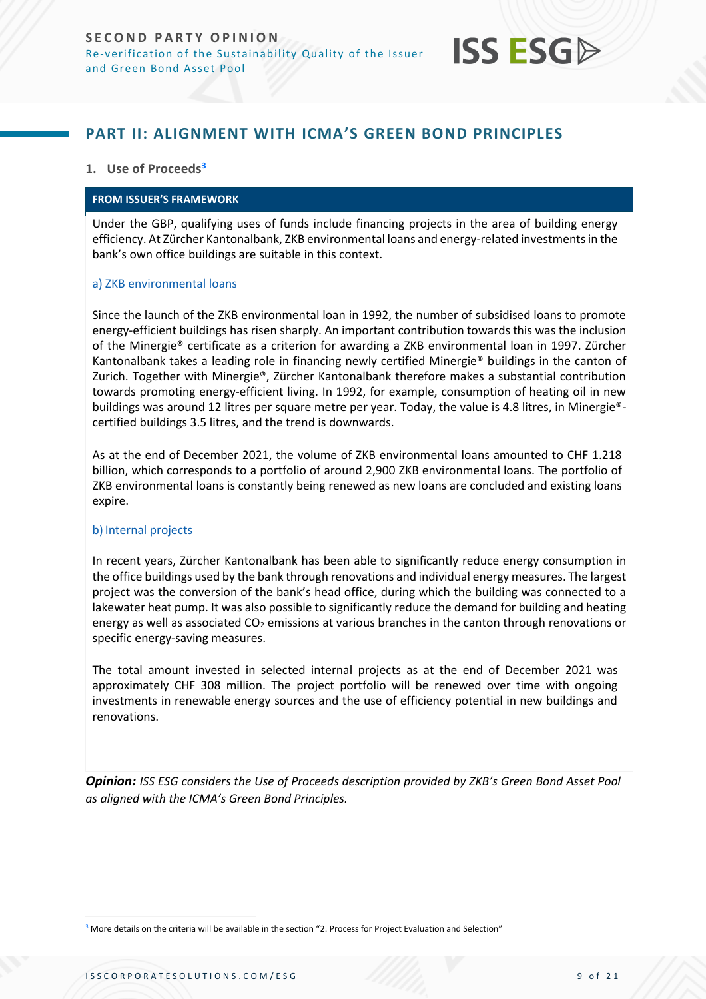

# <span id="page-8-0"></span>**PART II: ALIGNMENT WITH ICMA'S GREEN BOND PRINCIPLES**

### **1. Use of Proceeds<sup>3</sup>**

#### **FROM ISSUER'S FRAMEWORK**

Under the GBP, qualifying uses of funds include financing projects in the area of building energy efficiency. At Zürcher Kantonalbank, ZKB environmental loans and energy-related investments in the bank's own office buildings are suitable in this context.

#### a) ZKB environmental loans

Since the launch of the ZKB environmental loan in 1992, the number of subsidised loans to promote energy-efficient buildings has risen sharply. An important contribution towards this was the inclusion of the Minergie® certificate as a criterion for awarding a ZKB environmental loan in 1997. Zürcher Kantonalbank takes a leading role in financing newly certified Minergie® buildings in the canton of Zurich. Together with Minergie®, Zürcher Kantonalbank therefore makes a substantial contribution towards promoting energy-efficient living. In 1992, for example, consumption of heating oil in new buildings was around 12 litres per square metre per year. Today, the value is 4.8 litres, in Minergie® certified buildings 3.5 litres, and the trend is downwards.

As at the end of December 2021, the volume of ZKB environmental loans amounted to CHF 1.218 billion, which corresponds to a portfolio of around 2,900 ZKB environmental loans. The portfolio of ZKB environmental loans is constantly being renewed as new loans are concluded and existing loans expire.

#### b) Internal projects

In recent years, Zürcher Kantonalbank has been able to significantly reduce energy consumption in the office buildings used by the bank through renovations and individual energy measures. The largest project was the conversion of the bank's head office, during which the building was connected to a lakewater heat pump. It was also possible to significantly reduce the demand for building and heating energy as well as associated  $CO<sub>2</sub>$  emissions at various branches in the canton through renovations or specific energy-saving measures.

The total amount invested in selected internal projects as at the end of December 2021 was approximately CHF 308 million. The project portfolio will be renewed over time with ongoing investments in renewable energy sources and the use of efficiency potential in new buildings and renovations.

*Opinion: ISS ESG considers the Use of Proceeds description provided by ZKB's Green Bond Asset Pool as aligned with the ICMA's Green Bond Principles.* 

<sup>3</sup> More details on the criteria will be available in the section "2. Process for Project Evaluation and Selection"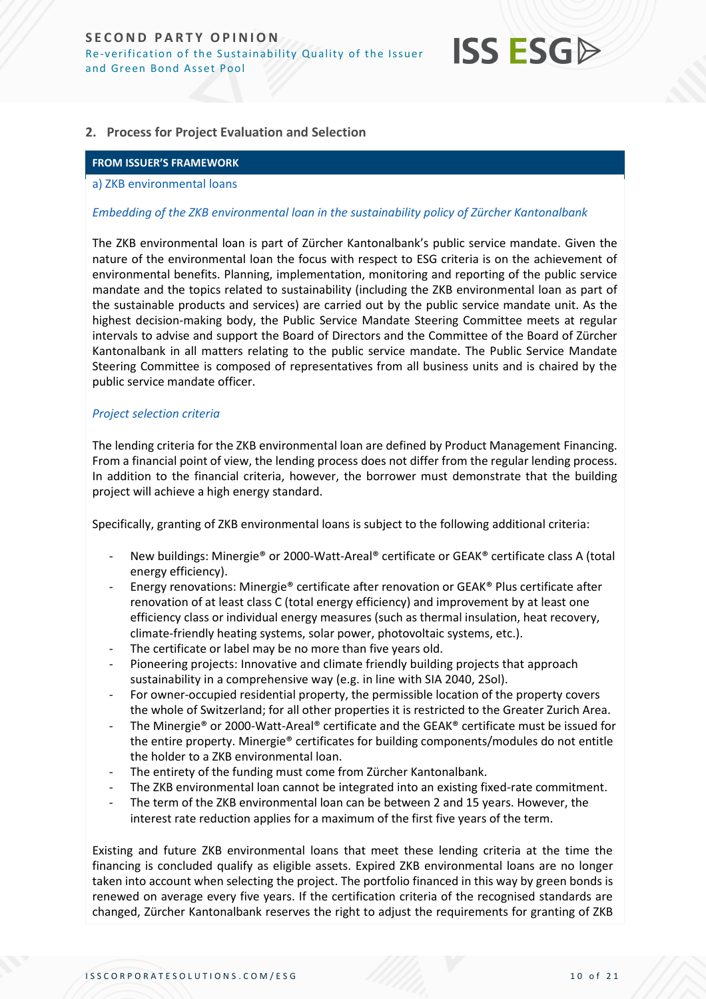

### **2. Process for Project Evaluation and Selection**

#### **FROM ISSUER'S FRAMEWORK**

#### a) ZKB environmental loans

#### *Embedding of the ZKB environmental loan in the sustainability policy of Zürcher Kantonalbank*

The ZKB environmental loan is part of Zürcher Kantonalbank's public service mandate. Given the nature of the environmental loan the focus with respect to ESG criteria is on the achievement of environmental benefits. Planning, implementation, monitoring and reporting of the public service mandate and the topics related to sustainability (including the ZKB environmental loan as part of the sustainable products and services) are carried out by the public service mandate unit. As the highest decision-making body, the Public Service Mandate Steering Committee meets at regular intervals to advise and support the Board of Directors and the Committee of the Board of Zürcher Kantonalbank in all matters relating to the public service mandate. The Public Service Mandate Steering Committee is composed of representatives from all business units and is chaired by the public service mandate officer.

#### *Project selection criteria*

The lending criteria for the ZKB environmental loan are defined by Product Management Financing. From a financial point of view, the lending process does not differ from the regular lending process. In addition to the financial criteria, however, the borrower must demonstrate that the building project will achieve a high energy standard.

Specifically, granting of ZKB environmental loans is subject to the following additional criteria:

- New buildings: Minergie® or 2000-Watt-Areal® certificate or GEAK® certificate class A (total energy efficiency).
- Energy renovations: Minergie® certificate after renovation or GEAK® Plus certificate after renovation of at least class C (total energy efficiency) and improvement by at least one efficiency class or individual energy measures (such as thermal insulation, heat recovery, climate-friendly heating systems, solar power, photovoltaic systems, etc.).
- The certificate or label may be no more than five years old.
- Pioneering projects: Innovative and climate friendly building projects that approach sustainability in a comprehensive way (e.g. in line with SIA 2040, 2Sol).
- For owner-occupied residential property, the permissible location of the property covers the whole of Switzerland; for all other properties it is restricted to the Greater Zurich Area.
- The Minergie® or 2000-Watt-Areal® certificate and the GEAK® certificate must be issued for the entire property. Minergie® certificates for building components/modules do not entitle the holder to a ZKB environmental loan.
- The entirety of the funding must come from Zürcher Kantonalbank.
- The ZKB environmental loan cannot be integrated into an existing fixed-rate commitment.
- The term of the ZKB environmental loan can be between 2 and 15 years. However, the interest rate reduction applies for a maximum of the first five years of the term.

Existing and future ZKB environmental loans that meet these lending criteria at the time the financing is concluded qualify as eligible assets. Expired ZKB environmental loans are no longer taken into account when selecting the project. The portfolio financed in this way by green bonds is renewed on average every five years. If the certification criteria of the recognised standards are changed, Zürcher Kantonalbank reserves the right to adjust the requirements for granting of ZKB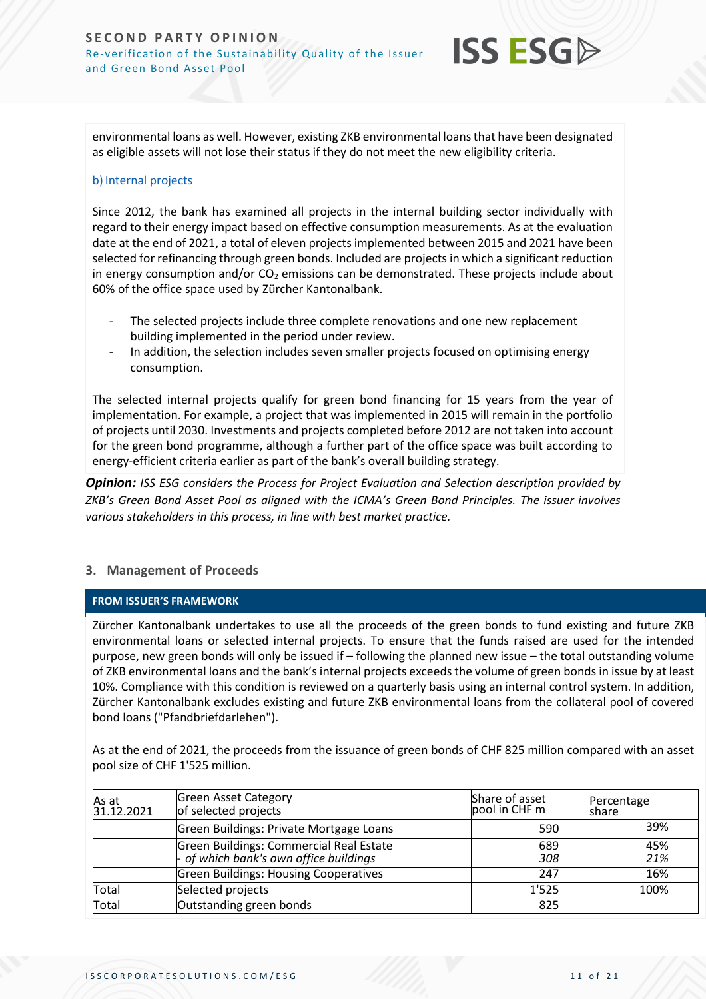

environmental loans as well. However, existing ZKB environmental loans that have been designated as eligible assets will not lose their status if they do not meet the new eligibility criteria.

### b) Internal projects

Since 2012, the bank has examined all projects in the internal building sector individually with regard to their energy impact based on effective consumption measurements. As at the evaluation date at the end of 2021, a total of eleven projects implemented between 2015 and 2021 have been selected for refinancing through green bonds. Included are projects in which a significant reduction in energy consumption and/or  $CO<sub>2</sub>$  emissions can be demonstrated. These projects include about 60% of the office space used by Zürcher Kantonalbank.

- The selected projects include three complete renovations and one new replacement building implemented in the period under review.
- In addition, the selection includes seven smaller projects focused on optimising energy consumption.

The selected internal projects qualify for green bond financing for 15 years from the year of implementation. For example, a project that was implemented in 2015 will remain in the portfolio of projects until 2030. Investments and projects completed before 2012 are not taken into account for the green bond programme, although a further part of the office space was built according to energy-efficient criteria earlier as part of the bank's overall building strategy.

*Opinion: ISS ESG considers the Process for Project Evaluation and Selection description provided by ZKB's Green Bond Asset Pool as aligned with the ICMA's Green Bond Principles. The issuer involves various stakeholders in this process, in line with best market practice.*

# **3. Management of Proceeds**

### **FROM ISSUER'S FRAMEWORK**

Zürcher Kantonalbank undertakes to use all the proceeds of the green bonds to fund existing and future ZKB environmental loans or selected internal projects. To ensure that the funds raised are used for the intended purpose, new green bonds will only be issued if – following the planned new issue – the total outstanding volume of ZKB environmental loans and the bank's internal projects exceeds the volume of green bonds in issue by at least 10%. Compliance with this condition is reviewed on a quarterly basis using an internal control system. In addition, Zürcher Kantonalbank excludes existing and future ZKB environmental loans from the collateral pool of covered bond loans ("Pfandbriefdarlehen").

As at the end of 2021, the proceeds from the issuance of green bonds of CHF 825 million compared with an asset pool size of CHF 1'525 million.

| As at<br>31.12.2021 | <b>Green Asset Category</b><br>of selected projects                               | Share of asset<br>lpool in CHF m | Percentage<br>Ishare |
|---------------------|-----------------------------------------------------------------------------------|----------------------------------|----------------------|
|                     | Green Buildings: Private Mortgage Loans                                           | 590                              | 39%                  |
|                     | Green Buildings: Commercial Real Estate<br>- of which bank's own office buildings | 689<br>308                       | 45%<br>21%           |
|                     | <b>Green Buildings: Housing Cooperatives</b>                                      | 247                              | 16%                  |
| Total               | Selected projects                                                                 | 1'525                            | 100%                 |
| Total               | Outstanding green bonds                                                           | 825                              |                      |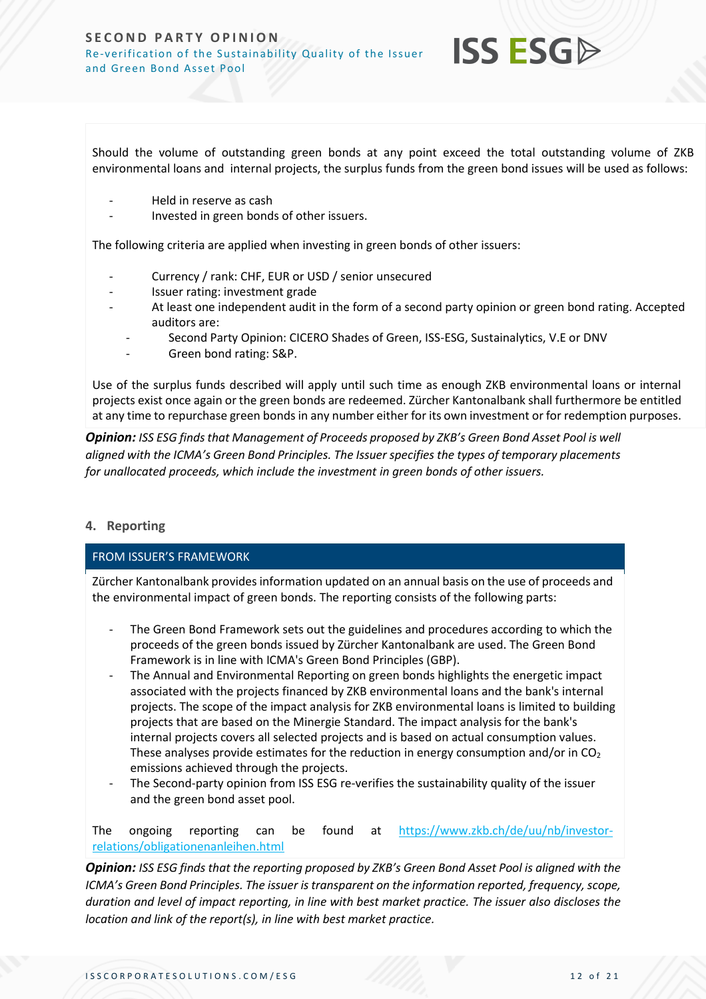

Should the volume of outstanding green bonds at any point exceed the total outstanding volume of ZKB environmental loans and internal projects, the surplus funds from the green bond issues will be used as follows:

- Held in reserve as cash
- Invested in green bonds of other issuers.

The following criteria are applied when investing in green bonds of other issuers:

- Currency / rank: CHF, EUR or USD / senior unsecured
- Issuer rating: investment grade
- At least one independent audit in the form of a second party opinion or green bond rating. Accepted auditors are:
	- Second Party Opinion: CICERO Shades of Green, ISS-ESG, Sustainalytics, V.E or DNV
	- Green bond rating: S&P.

Use of the surplus funds described will apply until such time as enough ZKB environmental loans or internal projects exist once again or the green bonds are redeemed. Zürcher Kantonalbank shall furthermore be entitled at any time to repurchase green bonds in any number either for its own investment or for redemption purposes.

*Opinion: ISS ESG finds that Management of Proceeds proposed by ZKB's Green Bond Asset Pool is well aligned with the ICMA's Green Bond Principles. The Issuer specifies the types of temporary placements for unallocated proceeds, which include the investment in green bonds of other issuers.*

### **4. Reporting**

### FROM ISSUER'S FRAMEWORK

Zürcher Kantonalbank provides information updated on an annual basis on the use of proceeds and the environmental impact of green bonds. The reporting consists of the following parts:

- The Green Bond Framework sets out the guidelines and procedures according to which the proceeds of the green bonds issued by Zürcher Kantonalbank are used. The Green Bond Framework is in line with ICMA's Green Bond Principles (GBP).
- The Annual and Environmental Reporting on green bonds highlights the energetic impact associated with the projects financed by ZKB environmental loans and the bank's internal projects. The scope of the impact analysis for ZKB environmental loans is limited to building projects that are based on the Minergie Standard. The impact analysis for the bank's internal projects covers all selected projects and is based on actual consumption values. These analyses provide estimates for the reduction in energy consumption and/or in CO<sub>2</sub> emissions achieved through the projects.
- The Second-party opinion from ISS ESG re-verifies the sustainability quality of the issuer and the green bond asset pool.

# The ongoing reporting can be found at [https://www.zkb.ch/de/uu/nb/investor](https://www.zkb.ch/de/uu/nb/investor-relations/obligationenanleihen.html)[relations/obligationenanleihen.html](https://www.zkb.ch/de/uu/nb/investor-relations/obligationenanleihen.html)

*Opinion: ISS ESG finds that the reporting proposed by ZKB's Green Bond Asset Pool is aligned with the ICMA's Green Bond Principles. The issuer is transparent on the information reported, frequency, scope, duration and level of impact reporting, in line with best market practice. The issuer also discloses the location and link of the report(s), in line with best market practice.*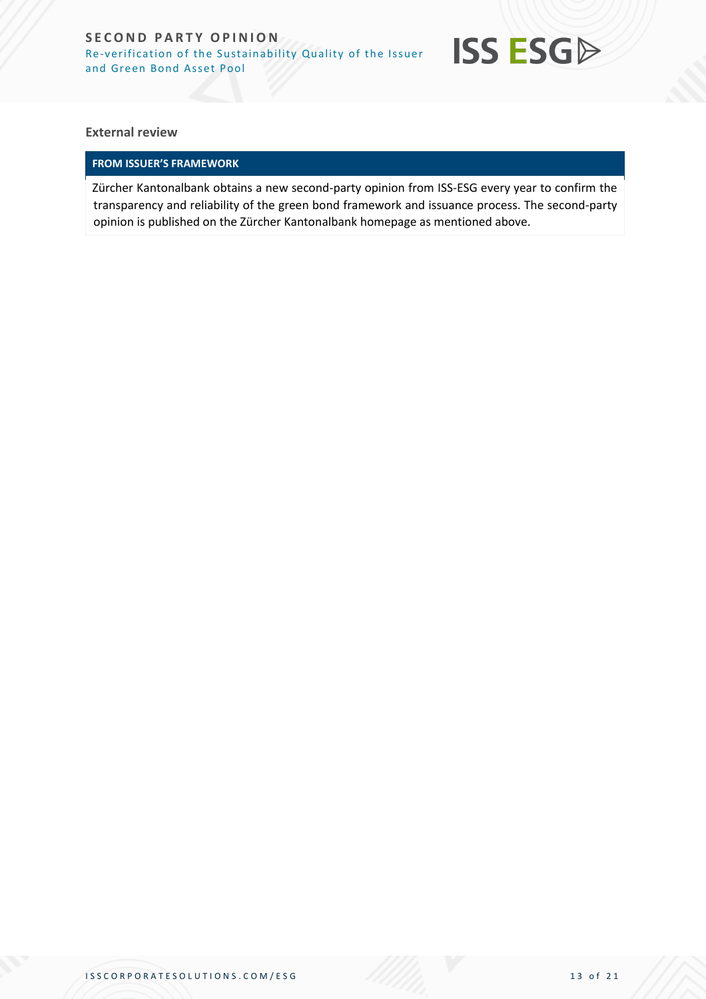

**External review**

# **FROM ISSUER'S FRAMEWORK**

Zürcher Kantonalbank obtains a new second-party opinion from ISS-ESG every year to confirm the transparency and reliability of the green bond framework and issuance process. The second-party opinion is published on the Zürcher Kantonalbank homepage as mentioned above.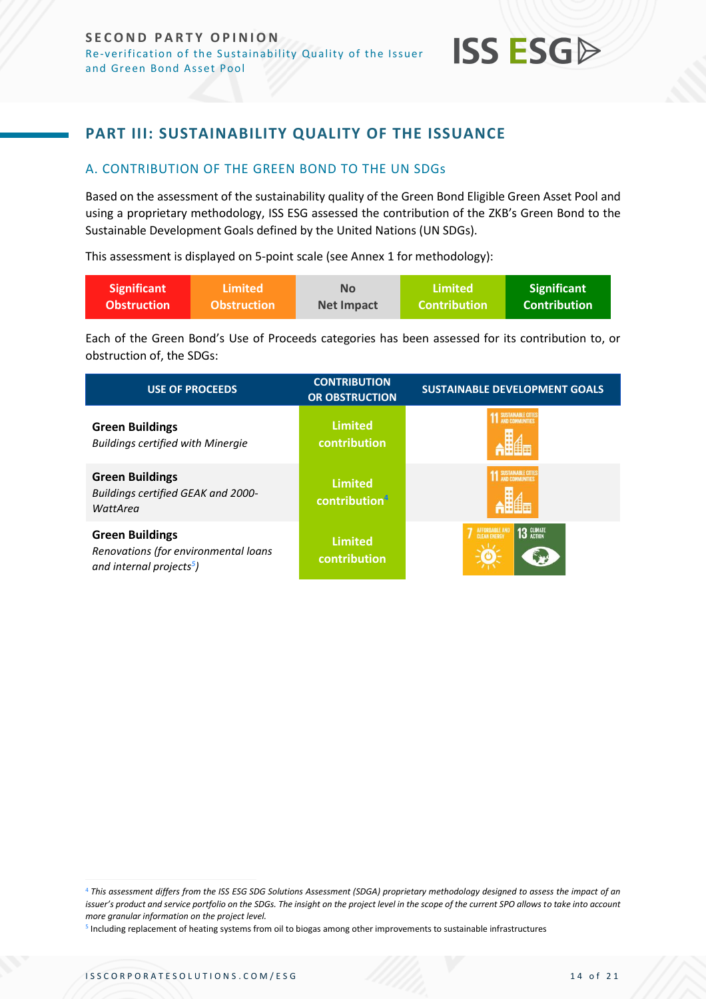

# <span id="page-13-0"></span>**PART III: SUSTAINABILITY QUALITY OF THE ISSUANCE**

# <span id="page-13-1"></span>A. CONTRIBUTION OF THE GREEN BOND TO THE UN SDGs

Based on the assessment of the sustainability quality of the Green Bond Eligible Green Asset Pool and using a proprietary methodology, ISS ESG assessed the contribution of the ZKB's Green Bond to the Sustainable Development Goals defined by the United Nations (UN SDGs).

This assessment is displayed on 5-point scale (see Annex 1 for methodology):

| <b>Significant</b> | \Limited <b>\</b>  | <b>No</b>         | Limited'            | <b>Significant</b>  |
|--------------------|--------------------|-------------------|---------------------|---------------------|
| <b>Obstruction</b> | <b>Obstruction</b> | <b>Net Impact</b> | <b>Contribution</b> | <b>Contribution</b> |

Each of the Green Bond's Use of Proceeds categories has been assessed for its contribution to, or obstruction of, the SDGs:

| <b>USE OF PROCEEDS</b>                                                                                 | <b>CONTRIBUTION</b><br><b>OR OBSTRUCTION</b> | <b>SUSTAINABLE DEVELOPMENT GOALS</b>         |
|--------------------------------------------------------------------------------------------------------|----------------------------------------------|----------------------------------------------|
| <b>Green Buildings</b><br><b>Buildings certified with Minergie</b>                                     | <b>Limited</b><br>contribution               | <b>SUSTAINABLE CITIE</b>                     |
| <b>Green Buildings</b><br>Buildings certified GEAK and 2000-<br>WattArea                               | <b>Limited</b><br>contribution <sup>4</sup>  | SUSTAINABLE CITIES                           |
| <b>Green Buildings</b><br>Renovations (for environmental loans<br>and internal projects <sup>5</sup> ) | <b>Limited</b><br>contribution               | 13 GLIMATE<br>AFFORDABLE AND<br>CLEAN ENERGY |

<sup>4</sup> *This assessment differs from the ISS ESG SDG Solutions Assessment (SDGA) proprietary methodology designed to assess the impact of an issuer's product and service portfolio on the SDGs. The insight on the project level in the scope of the current SPO allows to take into account more granular information on the project level.*

<sup>5</sup> Including replacement of heating systems from oil to biogas among other improvements to sustainable infrastructures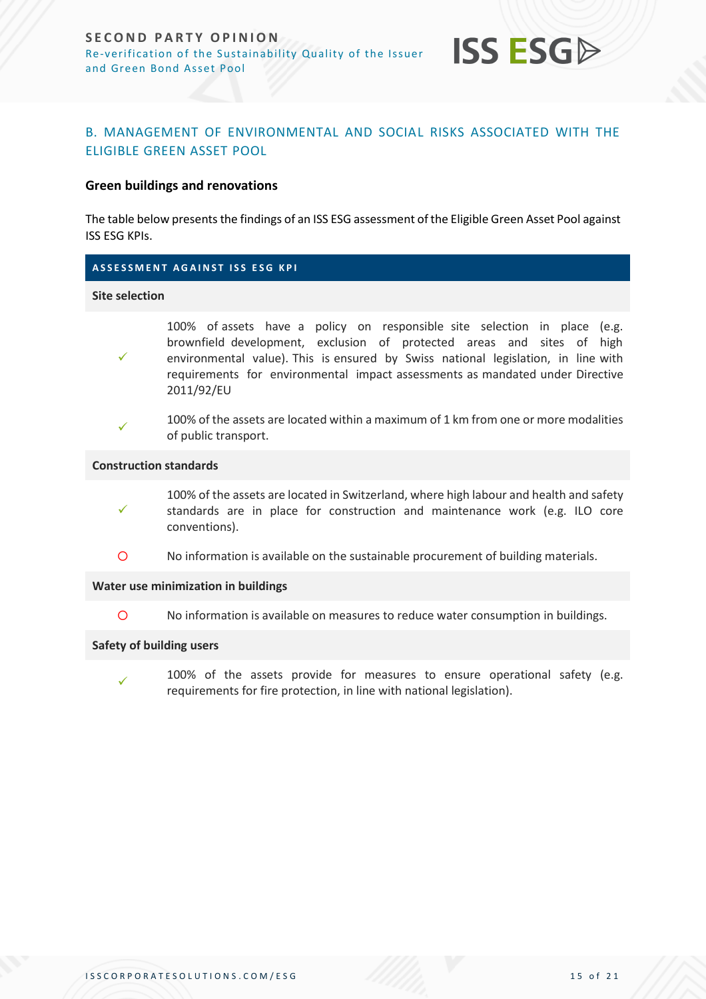

# <span id="page-14-0"></span>B. MANAGEMENT OF ENVIRONMENTAL AND SOCIAL RISKS ASSOCIATED WITH THE ELIGIBLE GREEN ASSET POOL

### **Green buildings and renovations**

The table below presents the findings of an ISS ESG assessment of the Eligible Green Asset Pool against ISS ESG KPIs.

### **A S S E S S M E N T A G A I N S T I S S E S G K P I**

#### **Site selection**

- 100% of assets have a policy on responsible site selection in place (e.g. brownfield development, exclusion of protected areas and sites of high environmental value). This is ensured by Swiss national legislation, in line with requirements for environmental impact assessments as mandated under Directive 2011/92/EU
- ✓

✓

100% of the assets are located within a maximum of 1 km from one or more modalities of public transport.

#### **Construction standards**

- ✓ 100% of the assets are located in Switzerland, where high labour and health and safety standards are in place for construction and maintenance work (e.g. ILO core conventions).
- No information is available on the sustainable procurement of building materials.

#### **Water use minimization in buildings**

No information is available on measures to reduce water consumption in buildings.

#### **Safety of building users**

✓

100% of the assets provide for measures to ensure operational safety (e.g. requirements for fire protection, in line with national legislation).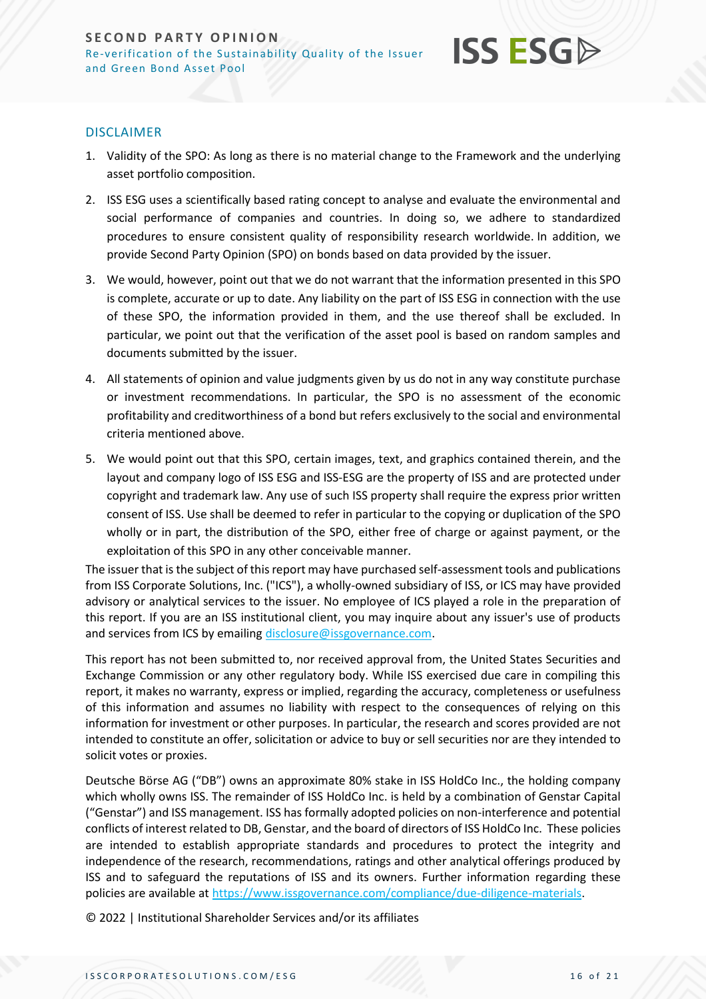### DISCLAIMER

- 1. Validity of the SPO: As long as there is no material change to the Framework and the underlying asset portfolio composition.
- 2. ISS ESG uses a scientifically based rating concept to analyse and evaluate the environmental and social performance of companies and countries. In doing so, we adhere to standardized procedures to ensure consistent quality of responsibility research worldwide. In addition, we provide Second Party Opinion (SPO) on bonds based on data provided by the issuer.
- 3. We would, however, point out that we do not warrant that the information presented in this SPO is complete, accurate or up to date. Any liability on the part of ISS ESG in connection with the use of these SPO, the information provided in them, and the use thereof shall be excluded. In particular, we point out that the verification of the asset pool is based on random samples and documents submitted by the issuer.
- 4. All statements of opinion and value judgments given by us do not in any way constitute purchase or investment recommendations. In particular, the SPO is no assessment of the economic profitability and creditworthiness of a bond but refers exclusively to the social and environmental criteria mentioned above.
- 5. We would point out that this SPO, certain images, text, and graphics contained therein, and the layout and company logo of ISS ESG and ISS-ESG are the property of ISS and are protected under copyright and trademark law. Any use of such ISS property shall require the express prior written consent of ISS. Use shall be deemed to refer in particular to the copying or duplication of the SPO wholly or in part, the distribution of the SPO, either free of charge or against payment, or the exploitation of this SPO in any other conceivable manner.

The issuer that is the subject of this report may have purchased self-assessment tools and publications from ISS Corporate Solutions, Inc. ("ICS"), a wholly-owned subsidiary of ISS, or ICS may have provided advisory or analytical services to the issuer. No employee of ICS played a role in the preparation of this report. If you are an ISS institutional client, you may inquire about any issuer's use of products and services from ICS by emailin[g disclosure@issgovernance.com.](mailto:disclosure@issgovernance.com)

This report has not been submitted to, nor received approval from, the United States Securities and Exchange Commission or any other regulatory body. While ISS exercised due care in compiling this report, it makes no warranty, express or implied, regarding the accuracy, completeness or usefulness of this information and assumes no liability with respect to the consequences of relying on this information for investment or other purposes. In particular, the research and scores provided are not intended to constitute an offer, solicitation or advice to buy or sell securities nor are they intended to solicit votes or proxies.

Deutsche Börse AG ("DB") owns an approximate 80% stake in ISS HoldCo Inc., the holding company which wholly owns ISS. The remainder of ISS HoldCo Inc. is held by a combination of Genstar Capital ("Genstar") and ISS management. ISS has formally adopted policies on non-interference and potential conflicts of interest related to DB, Genstar, and the board of directors of ISS HoldCo Inc. These policies are intended to establish appropriate standards and procedures to protect the integrity and independence of the research, recommendations, ratings and other analytical offerings produced by ISS and to safeguard the reputations of ISS and its owners. Further information regarding these policies are available a[t https://www.issgovernance.com/compliance/due-diligence-materials.](https://www.issgovernance.com/compliance/due-diligence-materials)

© 2022 | Institutional Shareholder Services and/or its affiliates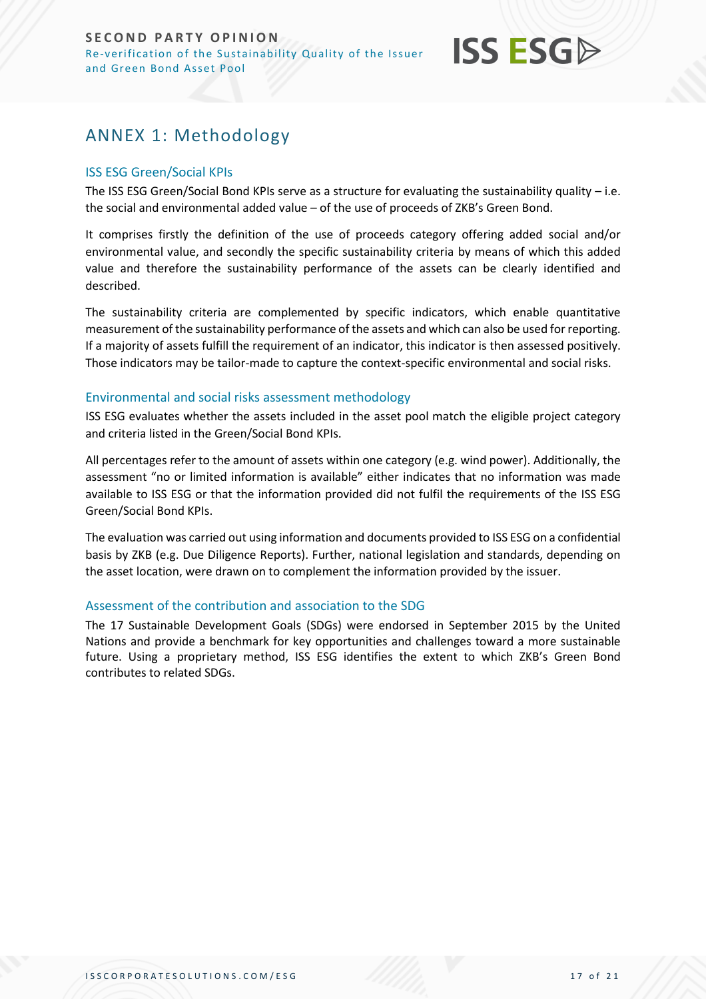# <span id="page-16-0"></span>ANNEX 1: Methodology

## ISS ESG Green/Social KPIs

The ISS ESG Green/Social Bond KPIs serve as a structure for evaluating the sustainability quality – i.e. the social and environmental added value – of the use of proceeds of ZKB's Green Bond.

It comprises firstly the definition of the use of proceeds category offering added social and/or environmental value, and secondly the specific sustainability criteria by means of which this added value and therefore the sustainability performance of the assets can be clearly identified and described.

The sustainability criteria are complemented by specific indicators, which enable quantitative measurement of the sustainability performance of the assets and which can also be used for reporting. If a majority of assets fulfill the requirement of an indicator, this indicator is then assessed positively. Those indicators may be tailor-made to capture the context-specific environmental and social risks.

### Environmental and social risks assessment methodology

ISS ESG evaluates whether the assets included in the asset pool match the eligible project category and criteria listed in the Green/Social Bond KPIs.

All percentages refer to the amount of assets within one category (e.g. wind power). Additionally, the assessment "no or limited information is available" either indicates that no information was made available to ISS ESG or that the information provided did not fulfil the requirements of the ISS ESG Green/Social Bond KPIs.

The evaluation was carried out using information and documents provided to ISS ESG on a confidential basis by ZKB (e.g. Due Diligence Reports). Further, national legislation and standards, depending on the asset location, were drawn on to complement the information provided by the issuer.

# Assessment of the contribution and association to the SDG

The 17 Sustainable Development Goals (SDGs) were endorsed in September 2015 by the United Nations and provide a benchmark for key opportunities and challenges toward a more sustainable future. Using a proprietary method, ISS ESG identifies the extent to which ZKB's Green Bond contributes to related SDGs.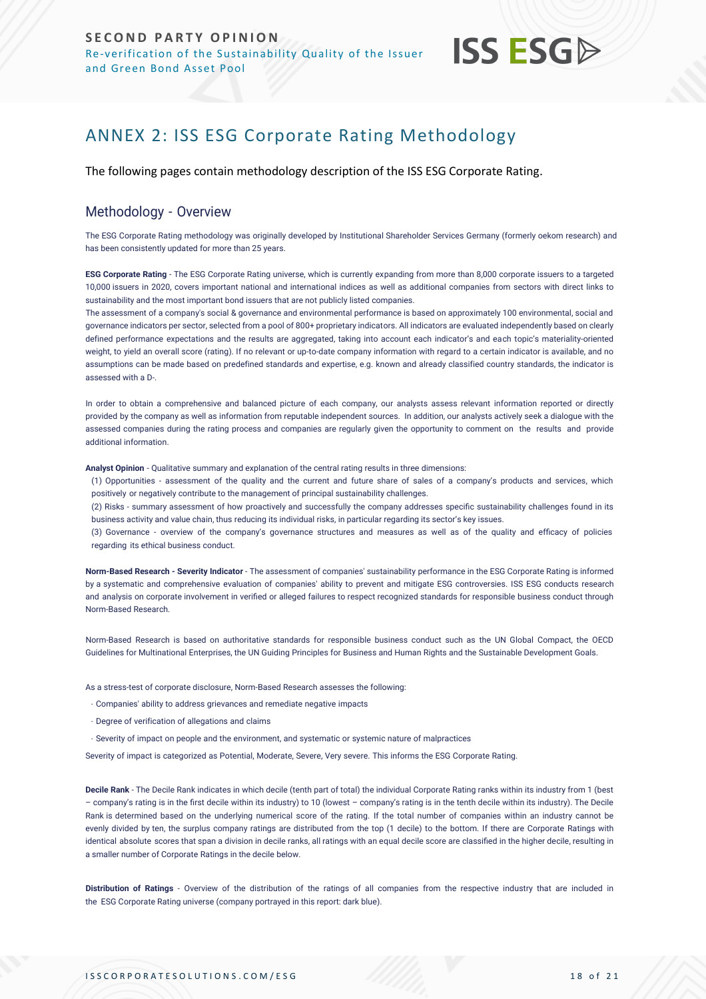# <span id="page-17-0"></span>ANNEX 2: ISS ESG Corporate Rating Methodology

The following pages contain methodology description of the ISS ESG Corporate Rating.

# Methodology - Overview

The ESG Corporate Rating methodology was originally developed by Institutional Shareholder Services Germany (formerly oekom research) and has been consistently updated for more than 25 years.

**ESG Corporate Rating** - The ESG Corporate Rating universe, which is currently expanding from more than 8,000 corporate issuers to a targeted 10,000 issuers in 2020, covers important national and international indices as well as additional companies from sectors with direct links to sustainability and the most important bond issuers that are not publicly listed companies.

The assessment of a company's social & governance and environmental performance is based on approximately 100 environmental, social and governance indicators per sector, selected from a pool of 800+ proprietary indicators. All indicators are evaluated independently based on clearly defined performance expectations and the results are aggregated, taking into account each indicator's and each topic's materiality-oriented weight, to yield an overall score (rating). If no relevant or up-to-date company information with regard to a certain indicator is available, and no assumptions can be made based on predefined standards and expertise, e.g. known and already classified country standards, the indicator is assessed with a D-.

In order to obtain a comprehensive and balanced picture of each company, our analysts assess relevant information reported or directly provided by the company as well as information from reputable independent sources. In addition, our analysts actively seek a dialogue with the assessed companies during the rating process and companies are regularly given the opportunity to comment on the results and provide additional information.

**Analyst Opinion** - Qualitative summary and explanation of the central rating results in three dimensions:

(1) Opportunities - assessment of the quality and the current and future share of sales of a company's products and services, which positively or negatively contribute to the management of principal sustainability challenges.

(2) Risks - summary assessment of how proactively and successfully the company addresses specific sustainability challenges found in its business activity and value chain, thus reducing its individual risks, in particular regarding its sector's key issues.

(3) Governance - overview of the company's governance structures and measures as well as of the quality and efficacy of policies regarding its ethical business conduct.

**Norm-Based Research - Severity Indicator** - The assessment of companies' sustainability performance in the ESG Corporate Rating is informed by a systematic and comprehensive evaluation of companies' ability to prevent and mitigate ESG controversies. ISS ESG conducts research and analysis on corporate involvement in verified [or alleged failures to respect recognized standards for responsible business conduct through](https://www.issgovernance.com/esg/screening/esg-screening-solutions/#nbr_techdoc_download)  [Norm-Based](https://www.issgovernance.com/esg/screening/esg-screening-solutions/#nbr_techdoc_download) Research.

Norm-Based Research is based on authoritative standards for responsible business conduct such as the UN Global Compact, the OECD Guidelines for Multinational Enterprises, the UN Guiding Principles for Business and Human Rights and the Sustainable Development Goals.

As a stress-test of corporate disclosure, Norm-Based Research assesses the following:

- Companies' ability to address grievances and remediate negative impacts
- Degree of verification of allegations and claims
- Severity of impact on people and the environment, and systematic or systemic nature of malpractices

Severity of impact is categorized as Potential, Moderate, Severe, Very severe. This informs the ESG Corporate Rating.

**Decile Rank** - The Decile Rank indicates in which decile (tenth part of total) the individual Corporate Rating ranks within its industry from 1 (best – company's rating is in the first decile within its industry) to 10 (lowest – company's rating is in the tenth decile within its industry). The Decile Rank is determined based on the underlying numerical score of the rating. If the total number of companies within an industry cannot be evenly divided by ten, the surplus company ratings are distributed from the top (1 decile) to the bottom. If there are Corporate Ratings with identical absolute scores that span a division in decile ranks, all ratings with an equal decile score are classified in the higher decile, resulting in a smaller number of Corporate Ratings in the decile below.

**Distribution of Ratings** - Overview of the distribution of the ratings of all companies from the respective industry that are included in the ESG Corporate Rating universe (company portrayed in this report: dark blue).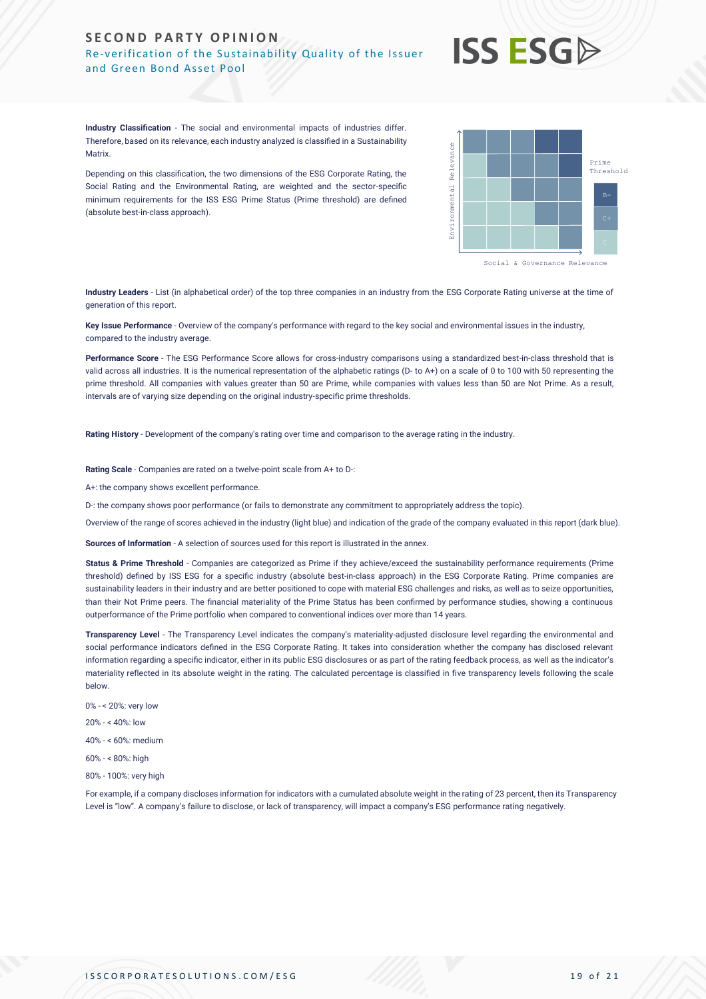#### **SECOND PARTY OPINION** Re-verification of the Sustainability Quality of the Issuer and Green Bond Asset Pool

# **ISS ESG**

**Industry Classification** - The social and environmental impacts of industries differ. Therefore, based on its relevance, each industry analyzed is classified in a Sustainability **Matrix** 

Depending on this classification, the two dimensions of the ESG Corporate Rating, the Social Rating and the Environmental Rating, are weighted and the sector-specific minimum requirements for the ISS ESG Prime Status (Prime threshold) are defined (absolute best-in-class approach).



**Industry Leaders** - List (in alphabetical order) of the top three companies in an industry from the ESG Corporate Rating universe at the time of generation of this report.

**Key Issue Performance** - Overview of the company's performance with regard to the key social and environmental issues in the industry, compared to the industry average.

**Performance Score** - The ESG Performance Score allows for cross-industry comparisons using a standardized best-in-class threshold that is valid across all industries. It is the numerical representation of the alphabetic ratings (D- to A+) on a scale of 0 to 100 with 50 representing the prime threshold. All companies with values greater than 50 are Prime, while companies with values less than 50 are Not Prime. As a result, intervals are of varying size depending on the original industry-specific prime thresholds.

**Rating History** - Development of the company's rating over time and comparison to the average rating in the industry.

**Rating Scale** - Companies are rated on a twelve-point scale from A+ to D-:

A+: the company shows excellent performance.

D-: the company shows poor performance (or fails to demonstrate any commitment to appropriately address the topic).

Overview of the range of scores achieved in the industry (light blue) and indication of the grade of the company evaluated in this report (dark blue).

**Sources of Information** - A selection of sources used for this report is illustrated in the annex.

Status & Prime Threshold - Companies are categorized as Prime if they achieve/exceed the sustainability performance requirements (Prime threshold) defined by ISS ESG for a specific industry (absolute best-in-class approach) in the ESG Corporate Rating. Prime companies are sustainability leaders in their industry and are better positioned to cope with material ESG challenges and risks, as well as to seize opportunities, than their Not Prime peers. The financial materiality of the Prime Status has been confirmed by performance studies, showing a continuous outperformance of the Prime portfolio when compared to conventional indices over more than 14 years. Africa, the members of the members of the transparence of the same are an absolute to transparence or lack of transparence in the members of the same properties of the same properties of the same properties of the same pro

**Transparency Level** - The Transparency Level indicates the company's materiality-adjusted disclosure level regarding the environmental and social performance indicators defined in the ESG Corporate Rating. It takes into consideration whether the company has disclosed relevant information regarding a specific indicator, either in its public ESG disclosures or as part of the rating feedback process, as well as the indicator's materiality reflected in its absolute weight in the rating. The calculated percentage is classified in five transparency levels following the scale below.

- 0% < 20%: very low
- 20% < 40%: low

40% - < 60%: medium

- 60% < 80%: high
- 80% 100%: very high

For example, if a company discloses information for indicators with a cumulated absolute weight in the rating of 23 percent, then its Transparency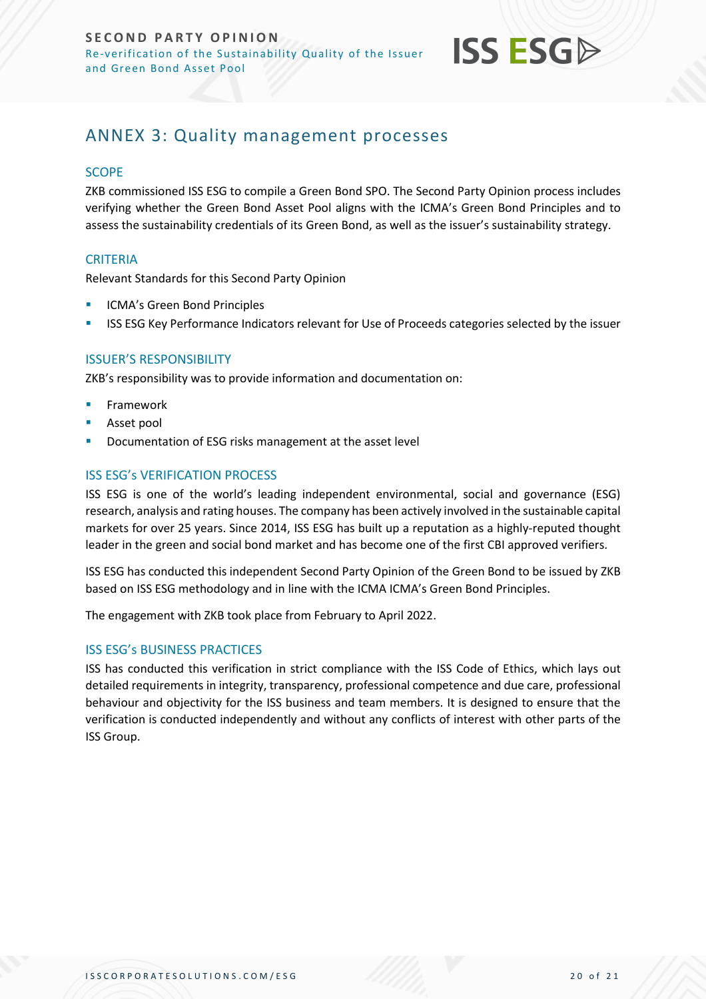

# <span id="page-19-0"></span>ANNEX 3: Quality management processes

### **SCOPE**

ZKB commissioned ISS ESG to compile a Green Bond SPO. The Second Party Opinion process includes verifying whether the Green Bond Asset Pool aligns with the ICMA's Green Bond Principles and to assess the sustainability credentials of its Green Bond, as well as the issuer's sustainability strategy.

## **CRITERIA**

Relevant Standards for this Second Party Opinion

- ICMA's Green Bond Principles
- ISS ESG Key Performance Indicators relevant for Use of Proceeds categories selected by the issuer

### ISSUER'S RESPONSIBILITY

ZKB's responsibility was to provide information and documentation on:

- **Framework**
- Asset pool
- Documentation of ESG risks management at the asset level

## ISS ESG's VERIFICATION PROCESS

ISS ESG is one of the world's leading independent environmental, social and governance (ESG) research, analysis and rating houses. The company has been actively involved in the sustainable capital markets for over 25 years. Since 2014, ISS ESG has built up a reputation as a highly-reputed thought leader in the green and social bond market and has become one of the first CBI approved verifiers.

ISS ESG has conducted this independent Second Party Opinion of the Green Bond to be issued by ZKB based on ISS ESG methodology and in line with the ICMA ICMA's Green Bond Principles.

The engagement with ZKB took place from February to April 2022.

### ISS ESG's BUSINESS PRACTICES

ISS has conducted this verification in strict compliance with the ISS Code of Ethics, which lays out detailed requirements in integrity, transparency, professional competence and due care, professional behaviour and objectivity for the ISS business and team members. It is designed to ensure that the verification is conducted independently and without any conflicts of interest with other parts of the ISS Group.